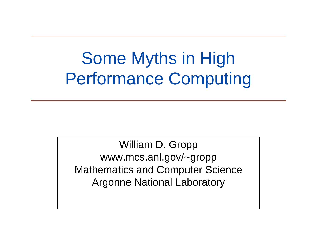# Some Myths in High Performance Computing

William D. Gropp www.mcs.anl.gov/~gropp Mathematics and Computer Science Argonne National Laboratory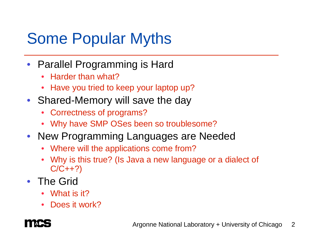# Some Popular Myths

- Parallel Programming is Hard
	- $\bullet$ Harder than what?
	- •Have you tried to keep your laptop up?
- Shared-Memory will save the day
	- Correctness of programs?
	- Why have SMP OSes been so troublesome?
- New Programming Languages are Needed
	- Where will the applications come from?
	- • Why is this true? (Is Java a new language or a dialect of  $C/C++?$
- The Grid
	- •What is it?
	- •Does it work?

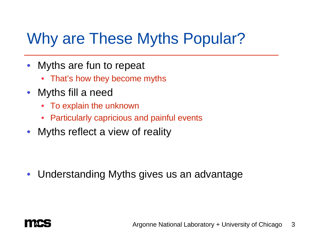# Why are These Myths Popular?

- $\bullet$  Myths are fun to repeat
	- That's how they become myths
- Myths fill a need
	- To explain the unknown
	- Particularly capricious and painful events
- $\bullet$ Myths reflect a view of reality

 $\bullet$ Understanding Myths gives us an advantage

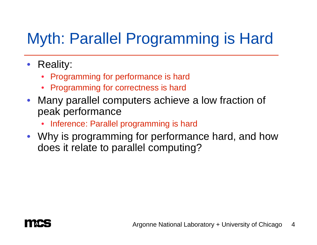# Myth: Parallel Programming is Hard

- Reality:
	- Programming for performance is hard
	- •Programming for correctness is hard
- Many parallel computers achieve a low fraction of peak performance
	- Inference: Parallel programming is hard
- Why is programming for performance hard, and how does it relate to parallel computing?

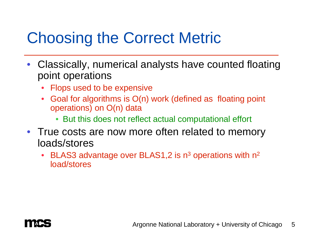# Choosing the Correct Metric

- Classically, numerical analysts have counted floating point operations
	- •Flops used to be expensive
	- • Goal for algorithms is O(n) work (defined as floating point operations) on O(n) data
		- But this does not reflect actual computational effort
- True costs are now more often related to memory loads/stores
	- •• BLAS3 advantage over BLAS1,2 is  $n^3$  operations with  $n^2$ load/stores

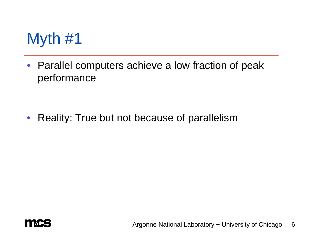

• Parallel computers achieve a low fraction of peak performance

 $\bullet$ Reality: True but not because of parallelism

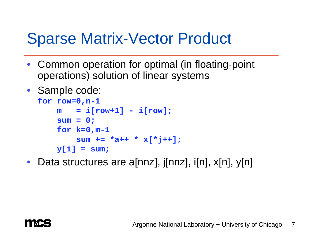### Sparse Matrix-Vector Product

- Common operation for optimal (in floating-point operations) solution of linear systems
- Sample code:

```
for row=0,n-1
m = i[row+1] - i[row];
sum = 0;
for k=0,m-1
    sum += *a++ * x[*j++];
y[i] = sum;
```
 $\bullet$ Data structures are a[nnz], j[nnz], i[n], x[n], y[n]

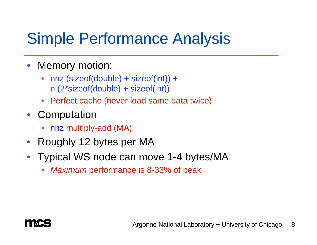# Simple Performance Analysis

- $\bullet$  Memory motion:
	- nnz (sizeof(double) + sizeof(int)) + n (2\*sizeof(double) + sizeof(int))
	- Perfect cache (never load same data twice)
- $\bullet$ **Computation** 
	- •nnz multiply-add (MA)
- Roughly 12 bytes per MA
- Typical WS node can move 1-4 bytes/MA
	- •*Maximum* performance is 8-33% of peak

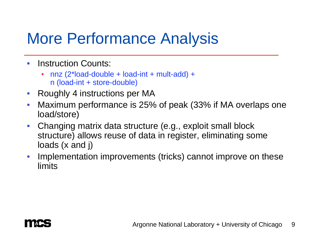### More Performance Analysis

- • Instruction Counts:
	- $\bullet$  nnz (2\*load-double + load-int + mult-add) + n (load-int + store-double)
- $\bullet$ Roughly 4 instructions per MA
- $\bullet$  Maximum performance is 25% of peak (33% if MA overlaps one load/store)
- $\bullet$  Changing matrix data structure (e.g., exploit small block structure) allows reuse of data in register, eliminating some loads (x and j)
- $\bullet$  Implementation improvements (tricks) cannot improve on these limits

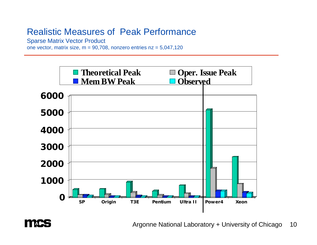### Realistic Measures of Peak Performance

Sparse Matrix Vector Product

one vector, matrix size,  $m = 90,708$ , nonzero entries  $nz = 5,047,120$ 



**TIME** 

Argonne National Laboratory + University of Chicago 10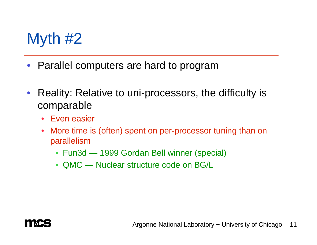# Myth #2

- •Parallel computers are hard to program
- $\bullet$  Reality: Relative to uni-processors, the difficulty is comparable
	- Even easier
	- $\bullet$  More time is (often) spent on per-processor tuning than on parallelism
		- Fun3d 1999 Gordan Bell winner (special)
		- QMC Nuclear structure code on BG/L

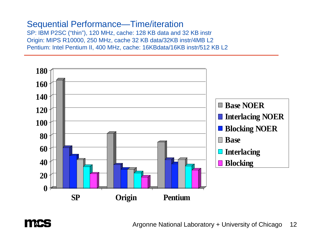### Sequential Performance—Time/iteration

**TAC** 

SP: IBM P2SC ("thin"), 120 MHz, cache: 128 KB data and 32 KB instr Origin: MIPS R10000, 250 MHz, cache 32 KB data/32KB instr/4MB L2 Pentium: Intel Pentium II, 400 MHz, cache: 16KBdata/16KB instr/512 KB L2

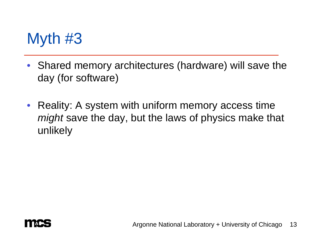# Myth #3

- Shared memory architectures (hardware) will save the day (for software)
- Reality: A system with uniform memory access time *might* save the day, but the laws of physics make that unlikely

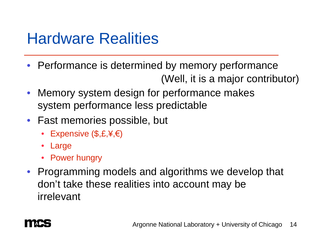### Hardware Realities

- Performance is determined by memory performance (Well, it is a major contributor)
- $\bullet$  Memory system design for performance makes system performance less predictable
- Fast memories possible, but
	- Expensive (\$,£,¥,€)
	- •Large
	- Power hungry
- Programming models and algorithms we develop that don't take these realities into account may be irrelevant

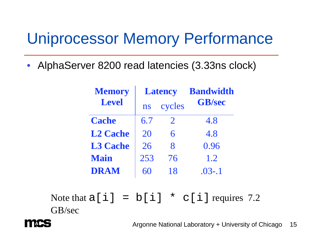### Uniprocessor Memory Performance

 $\bullet$ AlphaServer 8200 read latencies (3.33ns clock)

| <b>Memory</b>   | <b>Latency</b> |                       | <b>Bandwidth</b> |
|-----------------|----------------|-----------------------|------------------|
| <b>Level</b>    | ns             | cycles                | <b>GB/sec</b>    |
| <b>Cache</b>    | 6.7            | $\mathcal{D}_{\cdot}$ | 4.8              |
| <b>L2 Cache</b> | 20             | 6                     | 4.8              |
| <b>L3 Cache</b> | 26             | $\mathsf{R}$          | 0.96             |
| <b>Main</b>     | 253            | 76                    | 1.2              |
| <b>DRAM</b>     |                | 18                    | $.03 - .1$       |

Note that  $a[i] = b[i] * c[i]$  requires 7.2 GB/sec



Argonne National Laboratory + University of Chicago 15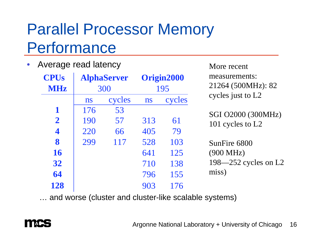# Parallel Processor Memory Performance

#### •Average read latency

| <b>CPUs</b><br><b>MHz</b> |     | <b>AlphaServer</b><br>300 |     | Origin2000<br>195 | measurements:<br>21264 (500MHz): 82 |
|---------------------------|-----|---------------------------|-----|-------------------|-------------------------------------|
|                           | ns  | cycles                    | ns  | cycles            | cycles just to L2                   |
| 1                         | 176 | 53                        |     |                   | SGI O2000 (300MHz)                  |
| $\overline{2}$            | 190 | 57                        | 313 | 61                | 101 cycles to L2                    |
| $\overline{\mathbf{4}}$   | 220 | 66                        | 405 | 79                |                                     |
| 8                         | 299 | 117                       | 528 | 103               | SunFire 6800                        |
| <b>16</b>                 |     |                           | 641 | 125               | $(900 \text{ MHz})$                 |
| 32                        |     |                           | 710 | 138               | 198-252 cycles on L2                |
| 64                        |     |                           | 796 | 155               | miss)                               |
| 128                       |     |                           | 903 | 176               |                                     |

… and worse (cluster and cluster-like scalable systems)



More recent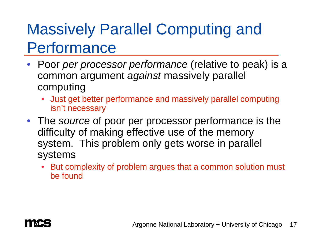# Massively Parallel Computing and Performance

- Poor *per processor performance* (relative to peak) is a common argument *against* massively parallel computing
	- Just get better performance and massively parallel computing isn't necessary
- The *source* of poor per processor performance is the difficulty of making effective use of the memory system. This problem only gets worse in parallel systems
	- • But complexity of problem argues that a common solution must be found

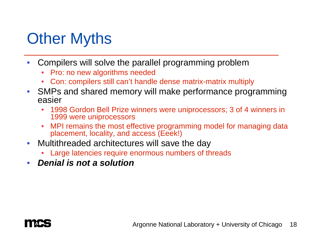# Other Myths

- $\bullet$  Compilers will solve the parallel programming problem
	- •Pro: no new algorithms needed
	- Con: compilers still can't handle dense matrix-matrix multiply
- $\bullet$  SMPs and shared memory will make performance programming easier
	- • 1998 Gordon Bell Prize winners were uniprocessors; 3 of 4 winners in 1999 were uniprocessors
	- $\bullet$  MPI remains the most effective programming model for managing data placement, locality, and access (Eeek!)
- $\bullet$  Multithreaded architectures will save the day
	- Large latencies require enormous numbers of threads
- $\bullet$ *Denial is not a solution*

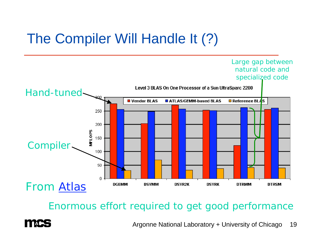### The Compiler Will Handle It (?)



### Enormous effort required to get good performance

Argonne National Laboratory + University of Chicago 19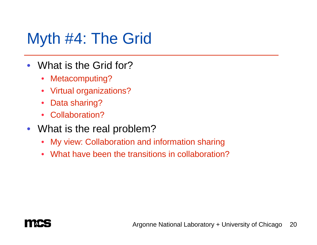### Myth #4: The Grid

- $\bullet$  What is the Grid for?
	- $\bullet$ Metacomputing?
	- $\bullet$ Virtual organizations?
	- $\bullet$ Data sharing?
	- $\bullet$ Collaboration?
- What is the real problem?
	- •My view: Collaboration and information sharing
	- $\bullet$ What have been the transitions in collaboration?

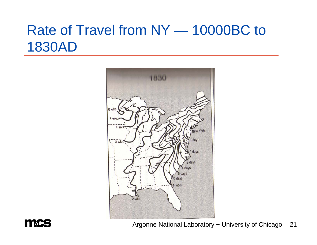### Rate of Travel from NY — 10000BC to 1830AD





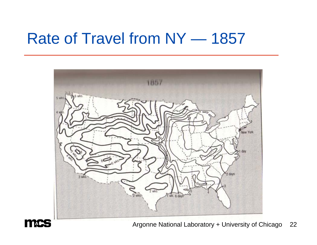### Rate of Travel from NY — 1857





Argonne National Laboratory + University of Chicago 22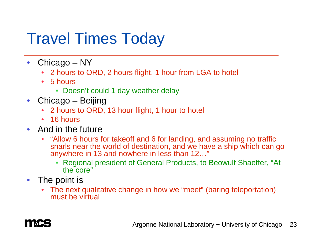### Travel Times Today

- $\bullet$  Chicago – NY
	- $\bullet$ 2 hours to ORD, 2 hours flight, 1 hour from LGA to hotel
	- 5 hours
		- Doesn't could 1 day weather delay
- $\bullet$  Chicago – Beijing
	- •2 hours to ORD, 13 hour flight, 1 hour to hotel
	- 16 hours
- And in the future
	- "Allow 6 hours for takeoff and 6 for landing, and assuming no traffic snarls near the world of destination, and we have a ship which can go anywhere in 13 and nowhere in less than 12…"
		- Regional president of General Products, to Beowulf Shaeffer, "At the core"
- The point is
	- The next qualitative change in how we "meet" (baring teleportation) must be virtual

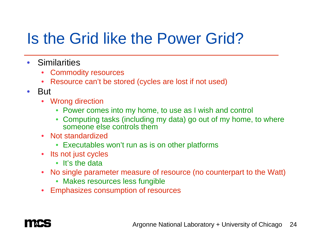# Is the Grid like the Power Grid?

- $\bullet$ **Similarities** 
	- •Commodity resources
	- Resource can't be stored (cycles are lost if not used)
- But
	- Wrong direction
		- Power comes into my home, to use as I wish and control
		- Computing tasks (including my data) go out of my home, to where someone else controls them
	- Not standardized
		- Executables won't run as is on other platforms
	- Its not just cycles
		- It's the data
	- No single parameter measure of resource (no counterpart to the Watt)
		- Makes resources less fungible
	- •Emphasizes consumption of resources

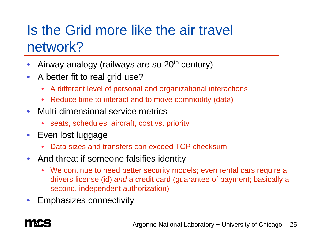### Is the Grid more like the air travel network?

- $\bullet$ Airway analogy (railways are so 20<sup>th</sup> century)
- $\bullet$  A better fit to real grid use?
	- A different level of personal and organizational interactions
	- Reduce time to interact and to move commodity (data)
- $\bullet$  Multi-dimensional service metrics
	- •seats, schedules, aircraft, cost vs. priority
- $\bullet$  Even lost luggage
	- •Data sizes and transfers can exceed TCP checksum
- And threat if someone falsifies identity
	- We continue to need better security models; even rental cars require a drivers license (id) *and* a credit card (guarantee of payment; basically a second, independent authorization)
- •Emphasizes connectivity

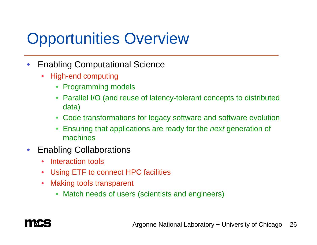# Opportunities Overview

- $\bullet$  Enabling Computational Science
	- • High-end computing
		- Programming models
		- Parallel I/O (and reuse of latency-tolerant concepts to distributed data)
		- Code transformations for legacy software and software evolution
		- Ensuring that applications are ready for the *next* generation of machines
- $\bullet$  Enabling Collaborations
	- $\bullet$ Interaction tools
	- $\bullet$ Using ETF to connect HPC facilities
	- $\bullet$  Making tools transparent
		- Match needs of users (scientists and engineers)

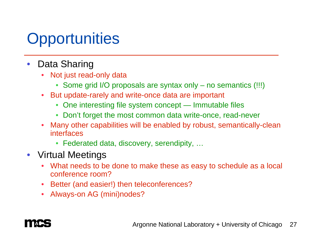# **Opportunities**

- • Data Sharing
	- • Not just read-only data
		- Some grid I/O proposals are syntax only no semantics (!!!)
	- • But update-rarely and write-once data are important
		- One interesting file system concept Immutable files
		- Don't forget the most common data write-once, read-never
	- $\bullet$  Many other capabilities will be enabled by robust, semantically-clean interfaces
		- Federated data, discovery, serendipity, …
- Virtual Meetings
	- What needs to be done to make these as easy to schedule as a local conference room?
	- •Better (and easier!) then teleconferences?
	- Always-on AG (mini)nodes?